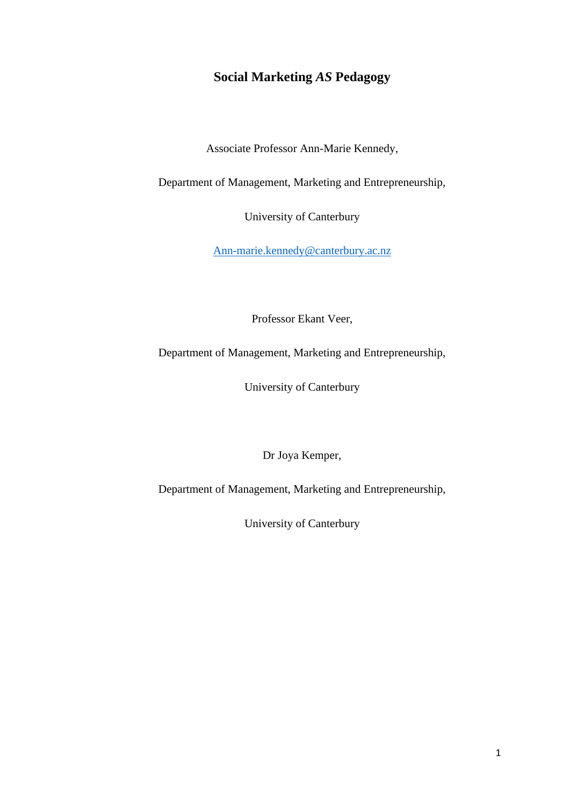# **Social Marketing** *AS* **Pedagogy**

Associate Professor Ann-Marie Kennedy,

Department of Management, Marketing and Entrepreneurship,

University of Canterbury

[Ann-marie.kennedy@canterbury.ac.nz](mailto:Ann-marie.kennedy@canterbury.ac.nz)

Professor Ekant Veer,

Department of Management, Marketing and Entrepreneurship,

University of Canterbury

Dr Joya Kemper,

Department of Management, Marketing and Entrepreneurship,

University of Canterbury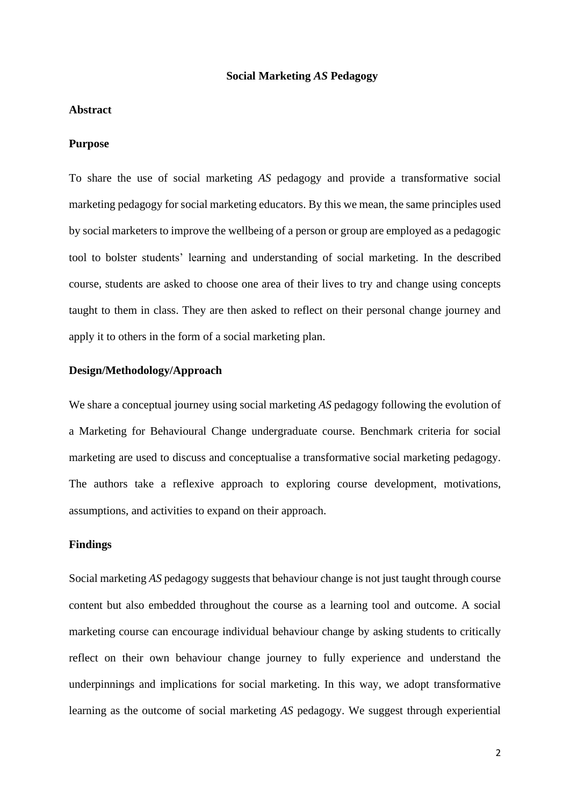## **Social Marketing** *AS* **Pedagogy**

#### **Abstract**

#### **Purpose**

To share the use of social marketing *AS* pedagogy and provide a transformative social marketing pedagogy for social marketing educators. By this we mean, the same principles used by social marketers to improve the wellbeing of a person or group are employed as a pedagogic tool to bolster students' learning and understanding of social marketing. In the described course, students are asked to choose one area of their lives to try and change using concepts taught to them in class. They are then asked to reflect on their personal change journey and apply it to others in the form of a social marketing plan.

## **Design/Methodology/Approach**

We share a conceptual journey using social marketing *AS* pedagogy following the evolution of a Marketing for Behavioural Change undergraduate course. Benchmark criteria for social marketing are used to discuss and conceptualise a transformative social marketing pedagogy. The authors take a reflexive approach to exploring course development, motivations, assumptions, and activities to expand on their approach.

## **Findings**

Social marketing *AS* pedagogy suggests that behaviour change is not just taught through course content but also embedded throughout the course as a learning tool and outcome. A social marketing course can encourage individual behaviour change by asking students to critically reflect on their own behaviour change journey to fully experience and understand the underpinnings and implications for social marketing. In this way, we adopt transformative learning as the outcome of social marketing *AS* pedagogy. We suggest through experiential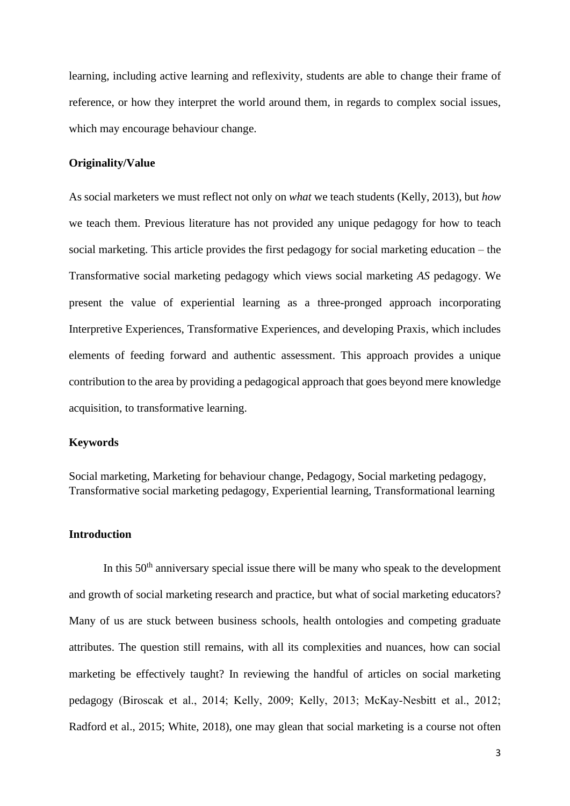learning, including active learning and reflexivity, students are able to change their frame of reference, or how they interpret the world around them, in regards to complex social issues, which may encourage behaviour change.

# **Originality/Value**

As social marketers we must reflect not only on *what* we teach students (Kelly, 2013), but *how* we teach them. Previous literature has not provided any unique pedagogy for how to teach social marketing. This article provides the first pedagogy for social marketing education – the Transformative social marketing pedagogy which views social marketing *AS* pedagogy. We present the value of experiential learning as a three-pronged approach incorporating Interpretive Experiences, Transformative Experiences, and developing Praxis, which includes elements of feeding forward and authentic assessment. This approach provides a unique contribution to the area by providing a pedagogical approach that goes beyond mere knowledge acquisition, to transformative learning.

# **Keywords**

Social marketing, Marketing for behaviour change, Pedagogy, Social marketing pedagogy, Transformative social marketing pedagogy, Experiential learning, Transformational learning

## **Introduction**

In this  $50<sup>th</sup>$  anniversary special issue there will be many who speak to the development and growth of social marketing research and practice, but what of social marketing educators? Many of us are stuck between business schools, health ontologies and competing graduate attributes. The question still remains, with all its complexities and nuances, how can social marketing be effectively taught? In reviewing the handful of articles on social marketing pedagogy (Biroscak et al., 2014; Kelly, 2009; Kelly, 2013; McKay‐Nesbitt et al., 2012; Radford et al., 2015; White, 2018), one may glean that social marketing is a course not often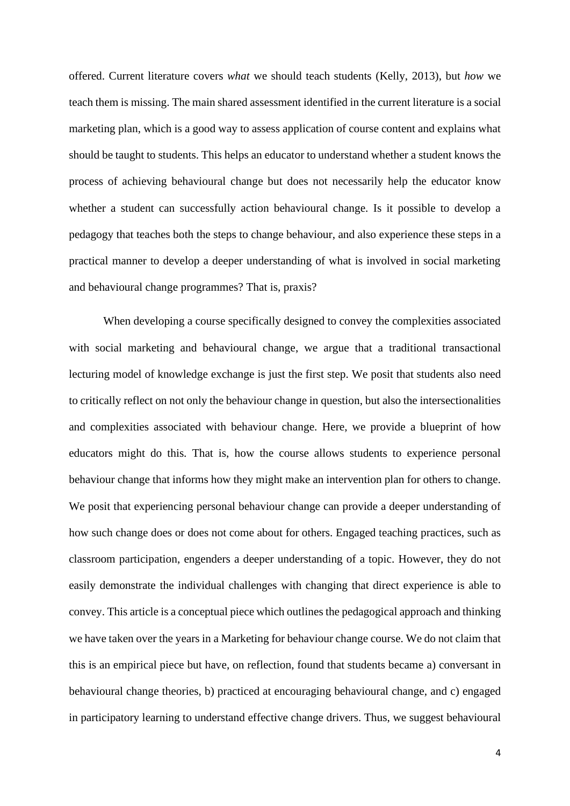offered. Current literature covers *what* we should teach students (Kelly, 2013), but *how* we teach them is missing. The main shared assessment identified in the current literature is a social marketing plan, which is a good way to assess application of course content and explains what should be taught to students. This helps an educator to understand whether a student knows the process of achieving behavioural change but does not necessarily help the educator know whether a student can successfully action behavioural change. Is it possible to develop a pedagogy that teaches both the steps to change behaviour, and also experience these steps in a practical manner to develop a deeper understanding of what is involved in social marketing and behavioural change programmes? That is, praxis?

When developing a course specifically designed to convey the complexities associated with social marketing and behavioural change, we argue that a traditional transactional lecturing model of knowledge exchange is just the first step. We posit that students also need to critically reflect on not only the behaviour change in question, but also the intersectionalities and complexities associated with behaviour change. Here, we provide a blueprint of how educators might do this. That is, how the course allows students to experience personal behaviour change that informs how they might make an intervention plan for others to change. We posit that experiencing personal behaviour change can provide a deeper understanding of how such change does or does not come about for others. Engaged teaching practices, such as classroom participation, engenders a deeper understanding of a topic. However, they do not easily demonstrate the individual challenges with changing that direct experience is able to convey. This article is a conceptual piece which outlines the pedagogical approach and thinking we have taken over the years in a Marketing for behaviour change course. We do not claim that this is an empirical piece but have, on reflection, found that students became a) conversant in behavioural change theories, b) practiced at encouraging behavioural change, and c) engaged in participatory learning to understand effective change drivers. Thus, we suggest behavioural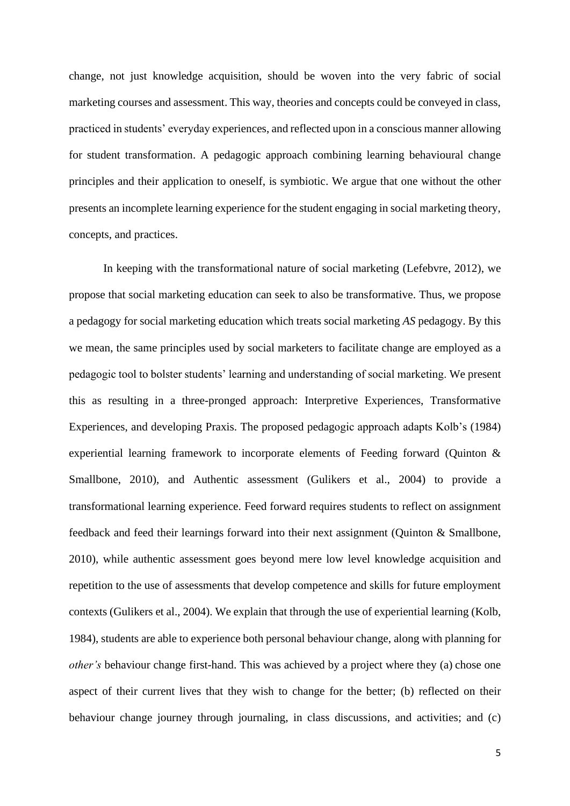change, not just knowledge acquisition, should be woven into the very fabric of social marketing courses and assessment. This way, theories and concepts could be conveyed in class, practiced in students' everyday experiences, and reflected upon in a conscious manner allowing for student transformation. A pedagogic approach combining learning behavioural change principles and their application to oneself, is symbiotic. We argue that one without the other presents an incomplete learning experience for the student engaging in social marketing theory, concepts, and practices.

In keeping with the transformational nature of social marketing (Lefebvre, 2012), we propose that social marketing education can seek to also be transformative. Thus, we propose a pedagogy for social marketing education which treats social marketing *AS* pedagogy. By this we mean, the same principles used by social marketers to facilitate change are employed as a pedagogic tool to bolster students' learning and understanding of social marketing. We present this as resulting in a three-pronged approach: Interpretive Experiences, Transformative Experiences, and developing Praxis. The proposed pedagogic approach adapts Kolb's (1984) experiential learning framework to incorporate elements of Feeding forward (Quinton & Smallbone, 2010), and Authentic assessment (Gulikers et al., 2004) to provide a transformational learning experience. Feed forward requires students to reflect on assignment feedback and feed their learnings forward into their next assignment (Quinton & Smallbone, 2010), while authentic assessment goes beyond mere low level knowledge acquisition and repetition to the use of assessments that develop competence and skills for future employment contexts (Gulikers et al., 2004). We explain that through the use of experiential learning (Kolb, 1984), students are able to experience both personal behaviour change, along with planning for *other's* behaviour change first-hand. This was achieved by a project where they (a) chose one aspect of their current lives that they wish to change for the better; (b) reflected on their behaviour change journey through journaling, in class discussions, and activities; and (c)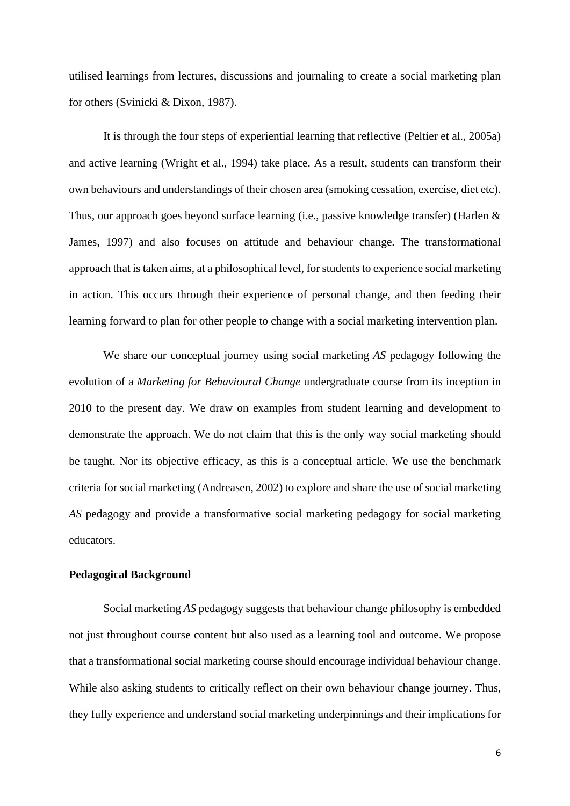utilised learnings from lectures, discussions and journaling to create a social marketing plan for others (Svinicki & Dixon, 1987).

It is through the four steps of experiential learning that reflective (Peltier et al., 2005a) and active learning (Wright et al., 1994) take place. As a result, students can transform their own behaviours and understandings of their chosen area (smoking cessation, exercise, diet etc). Thus, our approach goes beyond surface learning (i.e., passive knowledge transfer) (Harlen & James, 1997) and also focuses on attitude and behaviour change. The transformational approach that is taken aims, at a philosophical level, for students to experience social marketing in action. This occurs through their experience of personal change, and then feeding their learning forward to plan for other people to change with a social marketing intervention plan.

We share our conceptual journey using social marketing *AS* pedagogy following the evolution of a *Marketing for Behavioural Change* undergraduate course from its inception in 2010 to the present day. We draw on examples from student learning and development to demonstrate the approach. We do not claim that this is the only way social marketing should be taught. Nor its objective efficacy, as this is a conceptual article. We use the benchmark criteria for social marketing (Andreasen, 2002) to explore and share the use of social marketing *AS* pedagogy and provide a transformative social marketing pedagogy for social marketing educators.

## **Pedagogical Background**

Social marketing *AS* pedagogy suggests that behaviour change philosophy is embedded not just throughout course content but also used as a learning tool and outcome. We propose that a transformational social marketing course should encourage individual behaviour change. While also asking students to critically reflect on their own behaviour change journey. Thus, they fully experience and understand social marketing underpinnings and their implications for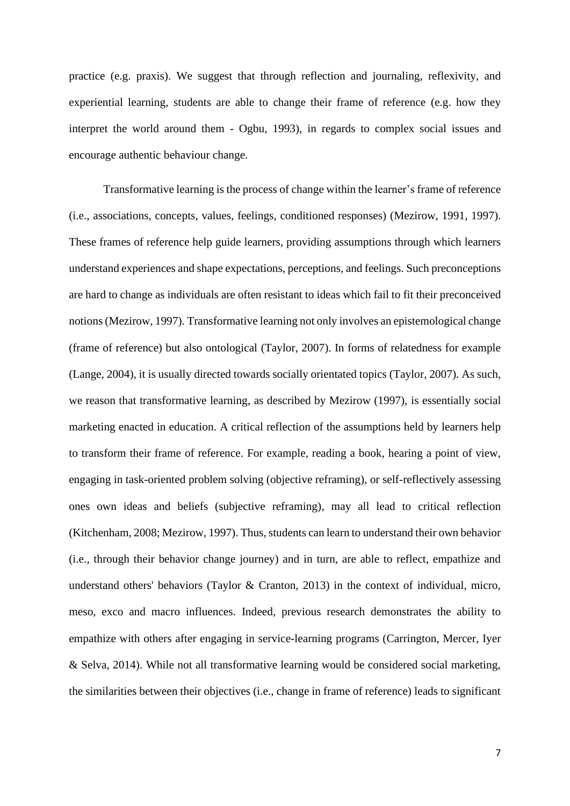practice (e.g. praxis). We suggest that through reflection and journaling, reflexivity, and experiential learning, students are able to change their frame of reference (e.g. how they interpret the world around them - Ogbu, 1993), in regards to complex social issues and encourage authentic behaviour change.

Transformative learning is the process of change within the learner's frame of reference (i.e., associations, concepts, values, feelings, conditioned responses) (Mezirow, 1991, 1997). These frames of reference help guide learners, providing assumptions through which learners understand experiences and shape expectations, perceptions, and feelings. Such preconceptions are hard to change as individuals are often resistant to ideas which fail to fit their preconceived notions (Mezirow, 1997). Transformative learning not only involves an epistemological change (frame of reference) but also ontological (Taylor, 2007). In forms of relatedness for example (Lange, 2004), it is usually directed towards socially orientated topics (Taylor, 2007). As such, we reason that transformative learning, as described by Mezirow (1997), is essentially social marketing enacted in education. A critical reflection of the assumptions held by learners help to transform their frame of reference. For example, reading a book, hearing a point of view, engaging in task-oriented problem solving (objective reframing), or self-reflectively assessing ones own ideas and beliefs (subjective reframing), may all lead to critical reflection (Kitchenham, 2008; Mezirow, 1997). Thus, students can learn to understand their own behavior (i.e., through their behavior change journey) and in turn, are able to reflect, empathize and understand others' behaviors (Taylor & Cranton, 2013) in the context of individual, micro, meso, exco and macro influences. Indeed, previous research demonstrates the ability to empathize with others after engaging in service-learning programs (Carrington, Mercer, Iyer & Selva, 2014). While not all transformative learning would be considered social marketing, the similarities between their objectives (i.e., change in frame of reference) leads to significant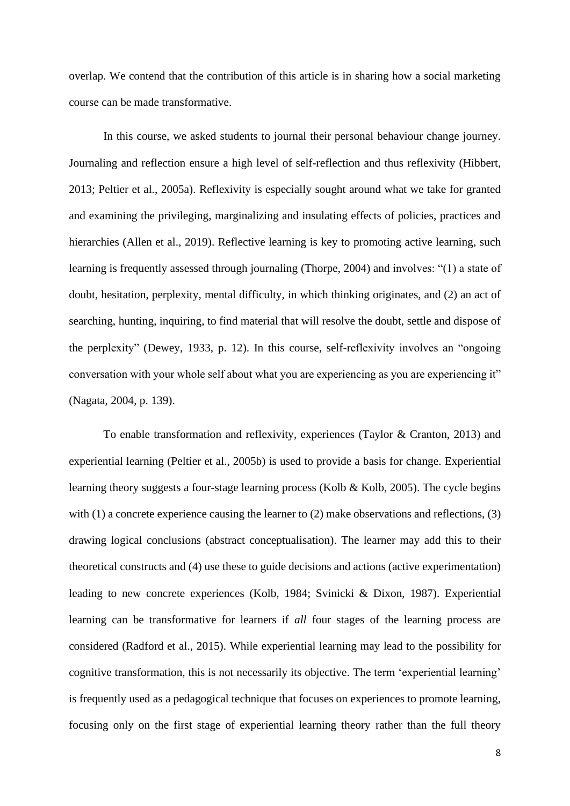overlap. We contend that the contribution of this article is in sharing how a social marketing course can be made transformative.

In this course, we asked students to journal their personal behaviour change journey. Journaling and reflection ensure a high level of self-reflection and thus reflexivity (Hibbert, 2013; Peltier et al., 2005a). Reflexivity is especially sought around what we take for granted and examining the privileging, marginalizing and insulating effects of policies, practices and hierarchies (Allen et al., 2019). Reflective learning is key to promoting active learning, such learning is frequently assessed through journaling (Thorpe, 2004) and involves: "(1) a state of doubt, hesitation, perplexity, mental difficulty, in which thinking originates, and (2) an act of searching, hunting, inquiring, to find material that will resolve the doubt, settle and dispose of the perplexity" (Dewey, 1933, p. 12). In this course, self-reflexivity involves an "ongoing conversation with your whole self about what you are experiencing as you are experiencing it" (Nagata, 2004, p. 139).

To enable transformation and reflexivity, experiences (Taylor & Cranton, 2013) and experiential learning (Peltier et al., 2005b) is used to provide a basis for change. Experiential learning theory suggests a four-stage learning process (Kolb & Kolb, 2005). The cycle begins with (1) a concrete experience causing the learner to (2) make observations and reflections, (3) drawing logical conclusions (abstract conceptualisation). The learner may add this to their theoretical constructs and (4) use these to guide decisions and actions (active experimentation) leading to new concrete experiences (Kolb, 1984; Svinicki & Dixon, 1987). Experiential learning can be transformative for learners if *all* four stages of the learning process are considered (Radford et al., 2015). While experiential learning may lead to the possibility for cognitive transformation, this is not necessarily its objective. The term 'experiential learning' is frequently used as a pedagogical technique that focuses on experiences to promote learning, focusing only on the first stage of experiential learning theory rather than the full theory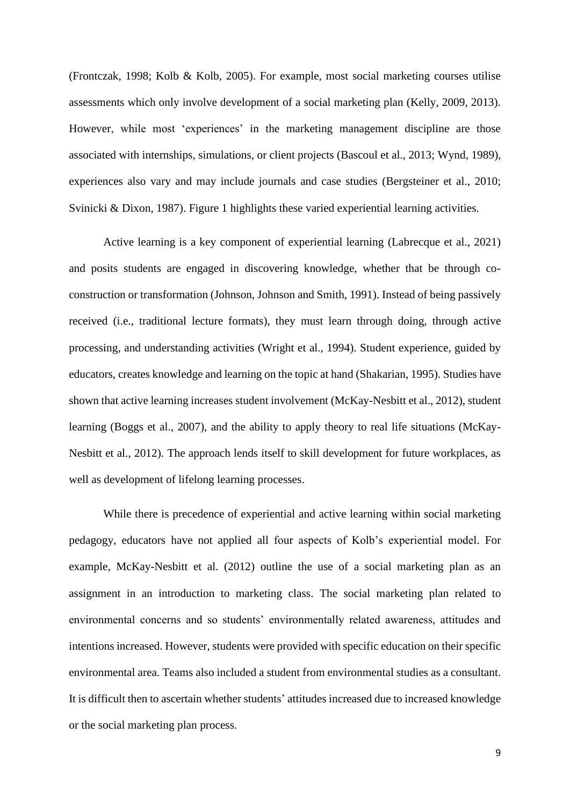(Frontczak, 1998; Kolb & Kolb, 2005). For example, most social marketing courses utilise assessments which only involve development of a social marketing plan (Kelly, 2009, 2013). However, while most 'experiences' in the marketing management discipline are those associated with internships, simulations, or client projects (Bascoul et al., 2013; Wynd, 1989), experiences also vary and may include journals and case studies (Bergsteiner et al., 2010; Svinicki & Dixon, 1987). Figure 1 highlights these varied experiential learning activities.

Active learning is a key component of experiential learning (Labrecque et al., 2021) and posits students are engaged in discovering knowledge, whether that be through coconstruction or transformation (Johnson, Johnson and Smith, 1991). Instead of being passively received (i.e., traditional lecture formats), they must learn through doing, through active processing, and understanding activities (Wright et al., 1994). Student experience, guided by educators, creates knowledge and learning on the topic at hand (Shakarian, 1995). Studies have shown that active learning increases student involvement (McKay-Nesbitt et al., 2012), student learning (Boggs et al., 2007), and the ability to apply theory to real life situations (McKay-Nesbitt et al., 2012). The approach lends itself to skill development for future workplaces, as well as development of lifelong learning processes.

While there is precedence of experiential and active learning within social marketing pedagogy, educators have not applied all four aspects of Kolb's experiential model. For example, McKay-Nesbitt et al. (2012) outline the use of a social marketing plan as an assignment in an introduction to marketing class. The social marketing plan related to environmental concerns and so students' environmentally related awareness, attitudes and intentions increased. However, students were provided with specific education on their specific environmental area. Teams also included a student from environmental studies as a consultant. It is difficult then to ascertain whether students' attitudes increased due to increased knowledge or the social marketing plan process.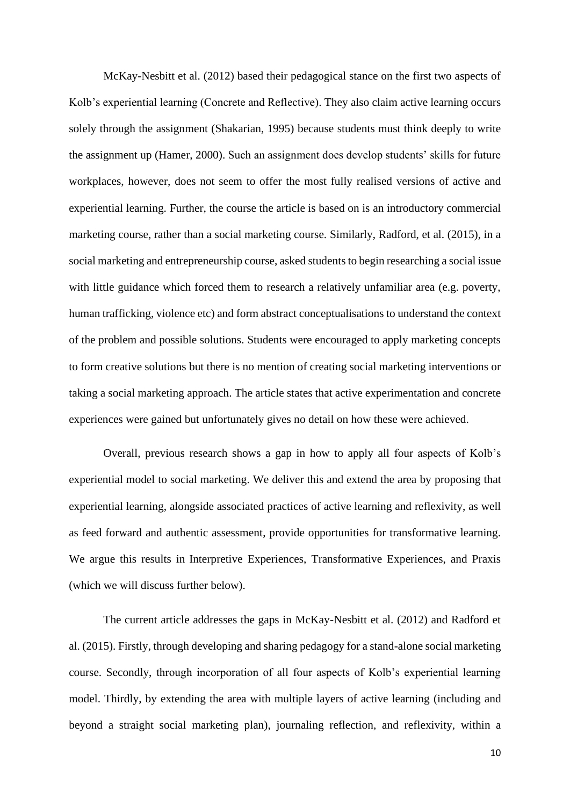McKay-Nesbitt et al. (2012) based their pedagogical stance on the first two aspects of Kolb's experiential learning (Concrete and Reflective). They also claim active learning occurs solely through the assignment (Shakarian, 1995) because students must think deeply to write the assignment up (Hamer, 2000). Such an assignment does develop students' skills for future workplaces, however, does not seem to offer the most fully realised versions of active and experiential learning. Further, the course the article is based on is an introductory commercial marketing course, rather than a social marketing course. Similarly, Radford, et al. (2015), in a social marketing and entrepreneurship course, asked students to begin researching a social issue with little guidance which forced them to research a relatively unfamiliar area (e.g. poverty, human trafficking, violence etc) and form abstract conceptualisations to understand the context of the problem and possible solutions. Students were encouraged to apply marketing concepts to form creative solutions but there is no mention of creating social marketing interventions or taking a social marketing approach. The article states that active experimentation and concrete experiences were gained but unfortunately gives no detail on how these were achieved.

Overall, previous research shows a gap in how to apply all four aspects of Kolb's experiential model to social marketing. We deliver this and extend the area by proposing that experiential learning, alongside associated practices of active learning and reflexivity, as well as feed forward and authentic assessment, provide opportunities for transformative learning. We argue this results in Interpretive Experiences, Transformative Experiences, and Praxis (which we will discuss further below).

The current article addresses the gaps in McKay-Nesbitt et al. (2012) and Radford et al. (2015). Firstly, through developing and sharing pedagogy for a stand-alone social marketing course. Secondly, through incorporation of all four aspects of Kolb's experiential learning model. Thirdly, by extending the area with multiple layers of active learning (including and beyond a straight social marketing plan), journaling reflection, and reflexivity, within a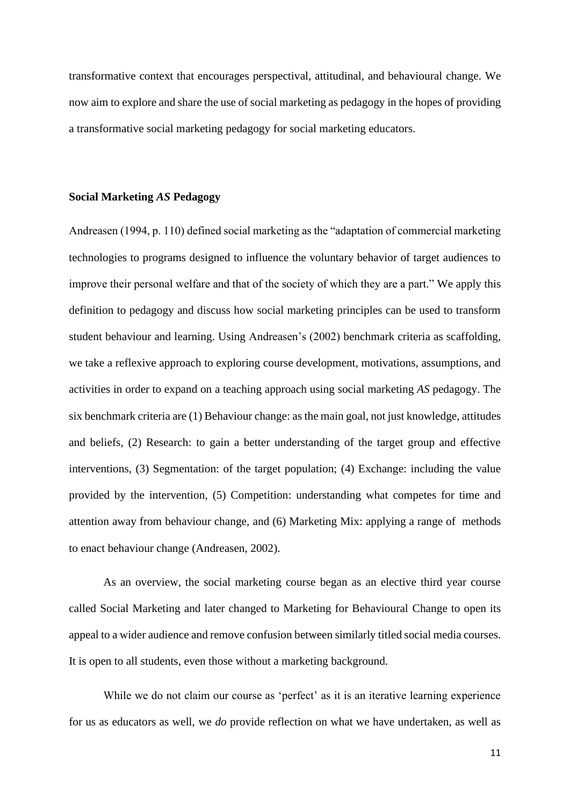transformative context that encourages perspectival, attitudinal, and behavioural change. We now aim to explore and share the use of social marketing as pedagogy in the hopes of providing a transformative social marketing pedagogy for social marketing educators.

## **Social Marketing** *AS* **Pedagogy**

Andreasen (1994, p. 110) defined social marketing as the "adaptation of commercial marketing technologies to programs designed to influence the voluntary behavior of target audiences to improve their personal welfare and that of the society of which they are a part." We apply this definition to pedagogy and discuss how social marketing principles can be used to transform student behaviour and learning. Using Andreasen's (2002) benchmark criteria as scaffolding, we take a reflexive approach to exploring course development, motivations, assumptions, and activities in order to expand on a teaching approach using social marketing *AS* pedagogy. The six benchmark criteria are (1) Behaviour change: as the main goal, not just knowledge, attitudes and beliefs, (2) Research: to gain a better understanding of the target group and effective interventions, (3) Segmentation: of the target population; (4) Exchange: including the value provided by the intervention, (5) Competition: understanding what competes for time and attention away from behaviour change, and (6) Marketing Mix: applying a range of methods to enact behaviour change (Andreasen, 2002).

As an overview, the social marketing course began as an elective third year course called Social Marketing and later changed to Marketing for Behavioural Change to open its appeal to a wider audience and remove confusion between similarly titled social media courses. It is open to all students, even those without a marketing background.

While we do not claim our course as 'perfect' as it is an iterative learning experience for us as educators as well, we *do* provide reflection on what we have undertaken, as well as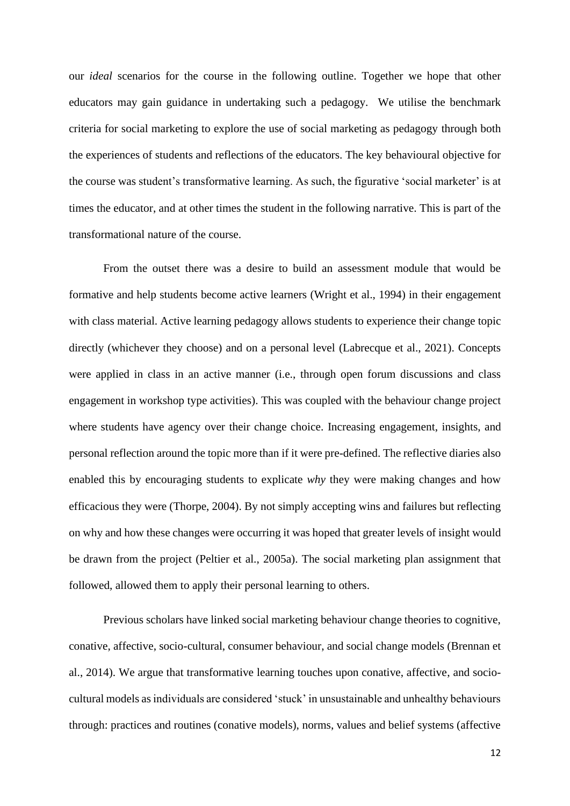our *ideal* scenarios for the course in the following outline. Together we hope that other educators may gain guidance in undertaking such a pedagogy. We utilise the benchmark criteria for social marketing to explore the use of social marketing as pedagogy through both the experiences of students and reflections of the educators. The key behavioural objective for the course was student's transformative learning. As such, the figurative 'social marketer' is at times the educator, and at other times the student in the following narrative. This is part of the transformational nature of the course.

From the outset there was a desire to build an assessment module that would be formative and help students become active learners (Wright et al., 1994) in their engagement with class material. Active learning pedagogy allows students to experience their change topic directly (whichever they choose) and on a personal level (Labrecque et al., 2021). Concepts were applied in class in an active manner (i.e., through open forum discussions and class engagement in workshop type activities). This was coupled with the behaviour change project where students have agency over their change choice. Increasing engagement, insights, and personal reflection around the topic more than if it were pre-defined. The reflective diaries also enabled this by encouraging students to explicate *why* they were making changes and how efficacious they were (Thorpe, 2004). By not simply accepting wins and failures but reflecting on why and how these changes were occurring it was hoped that greater levels of insight would be drawn from the project (Peltier et al., 2005a). The social marketing plan assignment that followed, allowed them to apply their personal learning to others.

Previous scholars have linked social marketing behaviour change theories to cognitive, conative, affective, socio-cultural, consumer behaviour, and social change models (Brennan et al., 2014). We argue that transformative learning touches upon conative, affective, and sociocultural models as individuals are considered 'stuck' in unsustainable and unhealthy behaviours through: practices and routines (conative models), norms, values and belief systems (affective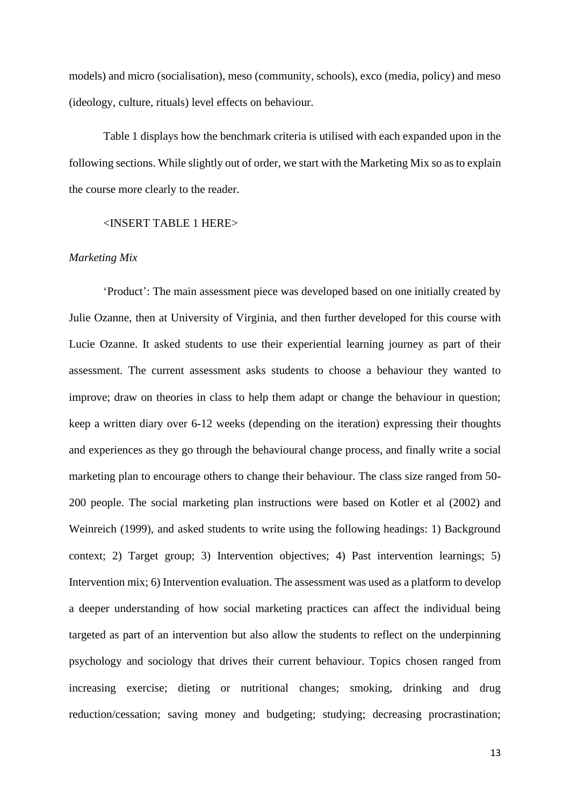models) and micro (socialisation), meso (community, schools), exco (media, policy) and meso (ideology, culture, rituals) level effects on behaviour.

Table 1 displays how the benchmark criteria is utilised with each expanded upon in the following sections. While slightly out of order, we start with the Marketing Mix so as to explain the course more clearly to the reader.

#### <INSERT TABLE 1 HERE>

## *Marketing Mix*

'Product': The main assessment piece was developed based on one initially created by Julie Ozanne, then at University of Virginia, and then further developed for this course with Lucie Ozanne. It asked students to use their experiential learning journey as part of their assessment. The current assessment asks students to choose a behaviour they wanted to improve; draw on theories in class to help them adapt or change the behaviour in question; keep a written diary over 6-12 weeks (depending on the iteration) expressing their thoughts and experiences as they go through the behavioural change process, and finally write a social marketing plan to encourage others to change their behaviour. The class size ranged from 50- 200 people. The social marketing plan instructions were based on Kotler et al (2002) and Weinreich (1999), and asked students to write using the following headings: 1) Background context; 2) Target group; 3) Intervention objectives; 4) Past intervention learnings; 5) Intervention mix; 6) Intervention evaluation. The assessment was used as a platform to develop a deeper understanding of how social marketing practices can affect the individual being targeted as part of an intervention but also allow the students to reflect on the underpinning psychology and sociology that drives their current behaviour. Topics chosen ranged from increasing exercise; dieting or nutritional changes; smoking, drinking and drug reduction/cessation; saving money and budgeting; studying; decreasing procrastination;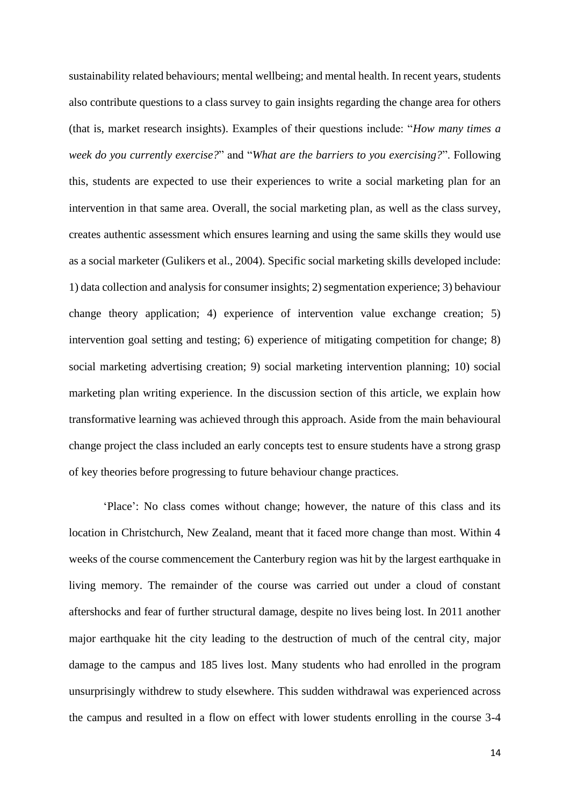sustainability related behaviours; mental wellbeing; and mental health. In recent years, students also contribute questions to a class survey to gain insights regarding the change area for others (that is, market research insights). Examples of their questions include: "*How many times a week do you currently exercise?*" and "*What are the barriers to you exercising?*". Following this, students are expected to use their experiences to write a social marketing plan for an intervention in that same area. Overall, the social marketing plan, as well as the class survey, creates authentic assessment which ensures learning and using the same skills they would use as a social marketer (Gulikers et al., 2004). Specific social marketing skills developed include: 1) data collection and analysis for consumer insights; 2) segmentation experience; 3) behaviour change theory application; 4) experience of intervention value exchange creation; 5) intervention goal setting and testing; 6) experience of mitigating competition for change; 8) social marketing advertising creation; 9) social marketing intervention planning; 10) social marketing plan writing experience. In the discussion section of this article, we explain how transformative learning was achieved through this approach. Aside from the main behavioural change project the class included an early concepts test to ensure students have a strong grasp of key theories before progressing to future behaviour change practices.

'Place': No class comes without change; however, the nature of this class and its location in Christchurch, New Zealand, meant that it faced more change than most. Within 4 weeks of the course commencement the Canterbury region was hit by the largest earthquake in living memory. The remainder of the course was carried out under a cloud of constant aftershocks and fear of further structural damage, despite no lives being lost. In 2011 another major earthquake hit the city leading to the destruction of much of the central city, major damage to the campus and 185 lives lost. Many students who had enrolled in the program unsurprisingly withdrew to study elsewhere. This sudden withdrawal was experienced across the campus and resulted in a flow on effect with lower students enrolling in the course 3-4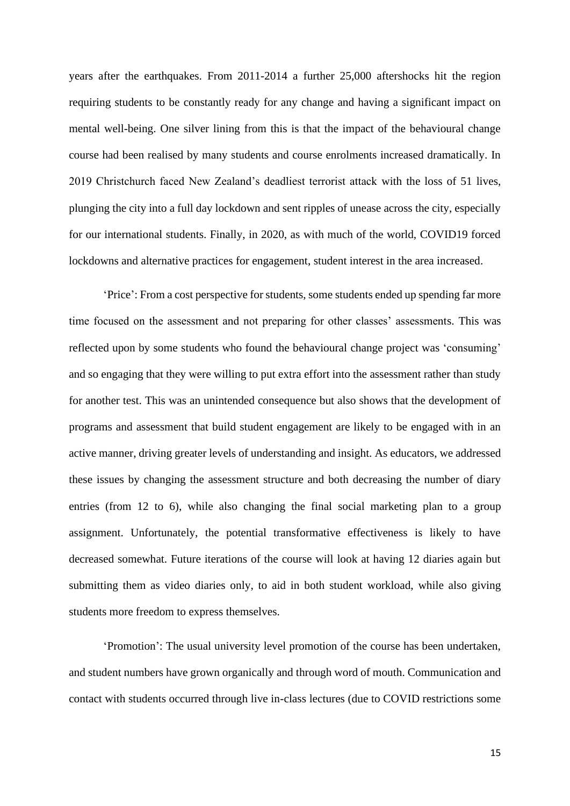years after the earthquakes. From 2011-2014 a further 25,000 aftershocks hit the region requiring students to be constantly ready for any change and having a significant impact on mental well-being. One silver lining from this is that the impact of the behavioural change course had been realised by many students and course enrolments increased dramatically. In 2019 Christchurch faced New Zealand's deadliest terrorist attack with the loss of 51 lives, plunging the city into a full day lockdown and sent ripples of unease across the city, especially for our international students. Finally, in 2020, as with much of the world, COVID19 forced lockdowns and alternative practices for engagement, student interest in the area increased.

'Price': From a cost perspective for students, some students ended up spending far more time focused on the assessment and not preparing for other classes' assessments. This was reflected upon by some students who found the behavioural change project was 'consuming' and so engaging that they were willing to put extra effort into the assessment rather than study for another test. This was an unintended consequence but also shows that the development of programs and assessment that build student engagement are likely to be engaged with in an active manner, driving greater levels of understanding and insight. As educators, we addressed these issues by changing the assessment structure and both decreasing the number of diary entries (from 12 to 6), while also changing the final social marketing plan to a group assignment. Unfortunately, the potential transformative effectiveness is likely to have decreased somewhat. Future iterations of the course will look at having 12 diaries again but submitting them as video diaries only, to aid in both student workload, while also giving students more freedom to express themselves.

'Promotion': The usual university level promotion of the course has been undertaken, and student numbers have grown organically and through word of mouth. Communication and contact with students occurred through live in-class lectures (due to COVID restrictions some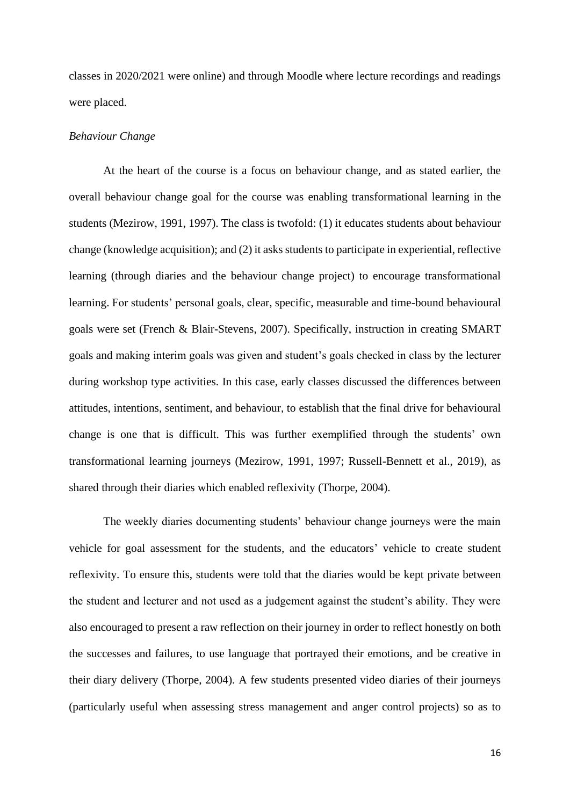classes in 2020/2021 were online) and through Moodle where lecture recordings and readings were placed.

#### *Behaviour Change*

At the heart of the course is a focus on behaviour change, and as stated earlier, the overall behaviour change goal for the course was enabling transformational learning in the students (Mezirow, 1991, 1997). The class is twofold: (1) it educates students about behaviour change (knowledge acquisition); and (2) it asks students to participate in experiential, reflective learning (through diaries and the behaviour change project) to encourage transformational learning. For students' personal goals, clear, specific, measurable and time-bound behavioural goals were set (French & Blair-Stevens, 2007). Specifically, instruction in creating SMART goals and making interim goals was given and student's goals checked in class by the lecturer during workshop type activities. In this case, early classes discussed the differences between attitudes, intentions, sentiment, and behaviour, to establish that the final drive for behavioural change is one that is difficult. This was further exemplified through the students' own transformational learning journeys (Mezirow, 1991, 1997; Russell-Bennett et al., 2019), as shared through their diaries which enabled reflexivity (Thorpe, 2004).

The weekly diaries documenting students' behaviour change journeys were the main vehicle for goal assessment for the students, and the educators' vehicle to create student reflexivity. To ensure this, students were told that the diaries would be kept private between the student and lecturer and not used as a judgement against the student's ability. They were also encouraged to present a raw reflection on their journey in order to reflect honestly on both the successes and failures, to use language that portrayed their emotions, and be creative in their diary delivery (Thorpe, 2004). A few students presented video diaries of their journeys (particularly useful when assessing stress management and anger control projects) so as to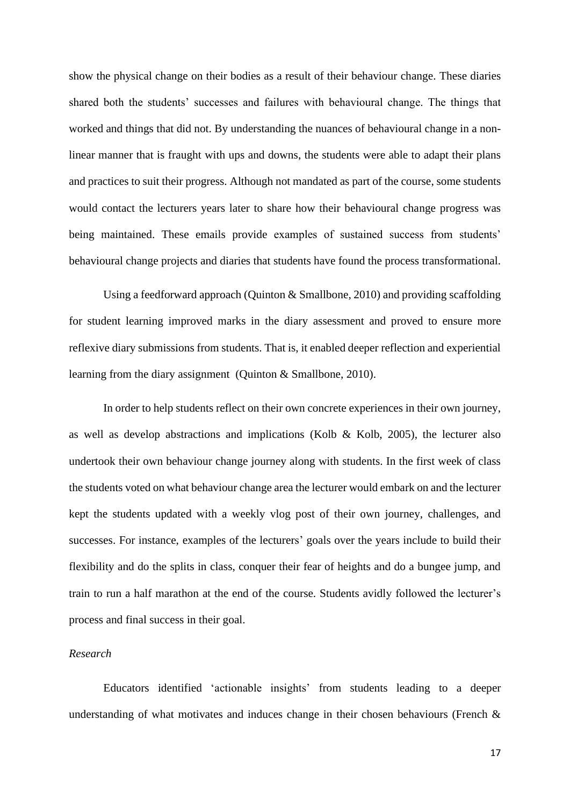show the physical change on their bodies as a result of their behaviour change. These diaries shared both the students' successes and failures with behavioural change. The things that worked and things that did not. By understanding the nuances of behavioural change in a nonlinear manner that is fraught with ups and downs, the students were able to adapt their plans and practices to suit their progress. Although not mandated as part of the course, some students would contact the lecturers years later to share how their behavioural change progress was being maintained. These emails provide examples of sustained success from students' behavioural change projects and diaries that students have found the process transformational.

Using a feedforward approach (Quinton & Smallbone, 2010) and providing scaffolding for student learning improved marks in the diary assessment and proved to ensure more reflexive diary submissions from students. That is, it enabled deeper reflection and experiential learning from the diary assignment (Quinton & Smallbone, 2010).

In order to help students reflect on their own concrete experiences in their own journey, as well as develop abstractions and implications (Kolb & Kolb, 2005), the lecturer also undertook their own behaviour change journey along with students. In the first week of class the students voted on what behaviour change area the lecturer would embark on and the lecturer kept the students updated with a weekly vlog post of their own journey, challenges, and successes. For instance, examples of the lecturers' goals over the years include to build their flexibility and do the splits in class, conquer their fear of heights and do a bungee jump, and train to run a half marathon at the end of the course. Students avidly followed the lecturer's process and final success in their goal.

# *Research*

Educators identified 'actionable insights' from students leading to a deeper understanding of what motivates and induces change in their chosen behaviours (French  $\&$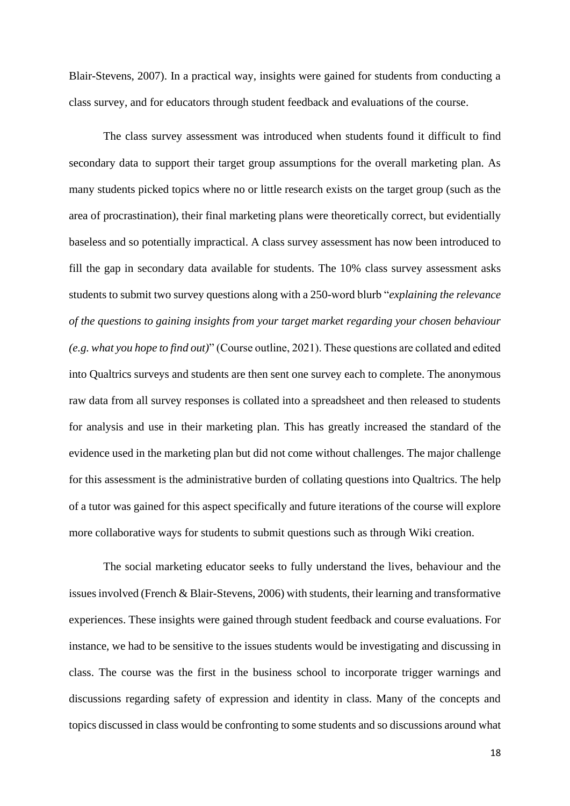Blair-Stevens, 2007). In a practical way, insights were gained for students from conducting a class survey, and for educators through student feedback and evaluations of the course.

The class survey assessment was introduced when students found it difficult to find secondary data to support their target group assumptions for the overall marketing plan. As many students picked topics where no or little research exists on the target group (such as the area of procrastination), their final marketing plans were theoretically correct, but evidentially baseless and so potentially impractical. A class survey assessment has now been introduced to fill the gap in secondary data available for students. The 10% class survey assessment asks students to submit two survey questions along with a 250-word blurb "*explaining the relevance of the questions to gaining insights from your target market regarding your chosen behaviour (e.g. what you hope to find out)*" (Course outline, 2021). These questions are collated and edited into Qualtrics surveys and students are then sent one survey each to complete. The anonymous raw data from all survey responses is collated into a spreadsheet and then released to students for analysis and use in their marketing plan. This has greatly increased the standard of the evidence used in the marketing plan but did not come without challenges. The major challenge for this assessment is the administrative burden of collating questions into Qualtrics. The help of a tutor was gained for this aspect specifically and future iterations of the course will explore more collaborative ways for students to submit questions such as through Wiki creation.

The social marketing educator seeks to fully understand the lives, behaviour and the issues involved (French & Blair-Stevens, 2006) with students, their learning and transformative experiences. These insights were gained through student feedback and course evaluations. For instance, we had to be sensitive to the issues students would be investigating and discussing in class. The course was the first in the business school to incorporate trigger warnings and discussions regarding safety of expression and identity in class. Many of the concepts and topics discussed in class would be confronting to some students and so discussions around what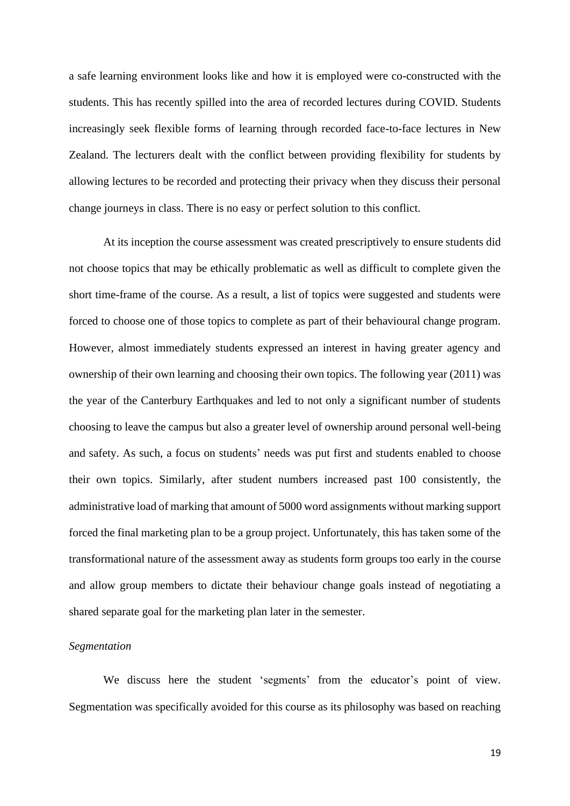a safe learning environment looks like and how it is employed were co-constructed with the students. This has recently spilled into the area of recorded lectures during COVID. Students increasingly seek flexible forms of learning through recorded face-to-face lectures in New Zealand. The lecturers dealt with the conflict between providing flexibility for students by allowing lectures to be recorded and protecting their privacy when they discuss their personal change journeys in class. There is no easy or perfect solution to this conflict.

At its inception the course assessment was created prescriptively to ensure students did not choose topics that may be ethically problematic as well as difficult to complete given the short time-frame of the course. As a result, a list of topics were suggested and students were forced to choose one of those topics to complete as part of their behavioural change program. However, almost immediately students expressed an interest in having greater agency and ownership of their own learning and choosing their own topics. The following year (2011) was the year of the Canterbury Earthquakes and led to not only a significant number of students choosing to leave the campus but also a greater level of ownership around personal well-being and safety. As such, a focus on students' needs was put first and students enabled to choose their own topics. Similarly, after student numbers increased past 100 consistently, the administrative load of marking that amount of 5000 word assignments without marking support forced the final marketing plan to be a group project. Unfortunately, this has taken some of the transformational nature of the assessment away as students form groups too early in the course and allow group members to dictate their behaviour change goals instead of negotiating a shared separate goal for the marketing plan later in the semester.

## *Segmentation*

We discuss here the student 'segments' from the educator's point of view. Segmentation was specifically avoided for this course as its philosophy was based on reaching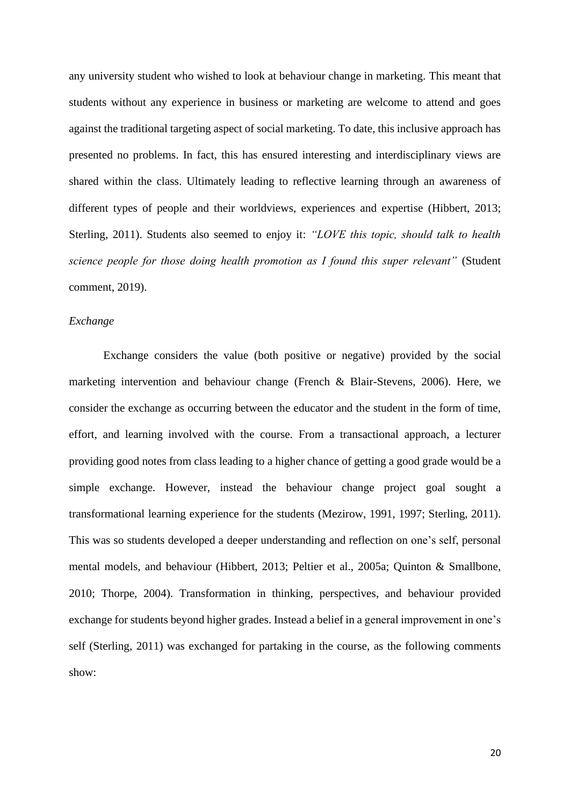any university student who wished to look at behaviour change in marketing. This meant that students without any experience in business or marketing are welcome to attend and goes against the traditional targeting aspect of social marketing. To date, this inclusive approach has presented no problems. In fact, this has ensured interesting and interdisciplinary views are shared within the class. Ultimately leading to reflective learning through an awareness of different types of people and their worldviews, experiences and expertise (Hibbert, 2013; Sterling, 2011). Students also seemed to enjoy it: *"LOVE this topic, should talk to health science people for those doing health promotion as I found this super relevant"* (Student comment, 2019).

# *Exchange*

Exchange considers the value (both positive or negative) provided by the social marketing intervention and behaviour change (French & Blair-Stevens, 2006). Here, we consider the exchange as occurring between the educator and the student in the form of time, effort, and learning involved with the course. From a transactional approach, a lecturer providing good notes from class leading to a higher chance of getting a good grade would be a simple exchange. However, instead the behaviour change project goal sought a transformational learning experience for the students (Mezirow, 1991, 1997; Sterling, 2011). This was so students developed a deeper understanding and reflection on one's self, personal mental models, and behaviour (Hibbert, 2013; Peltier et al., 2005a; Quinton & Smallbone, 2010; Thorpe, 2004). Transformation in thinking, perspectives, and behaviour provided exchange for students beyond higher grades. Instead a belief in a general improvement in one's self (Sterling, 2011) was exchanged for partaking in the course, as the following comments show: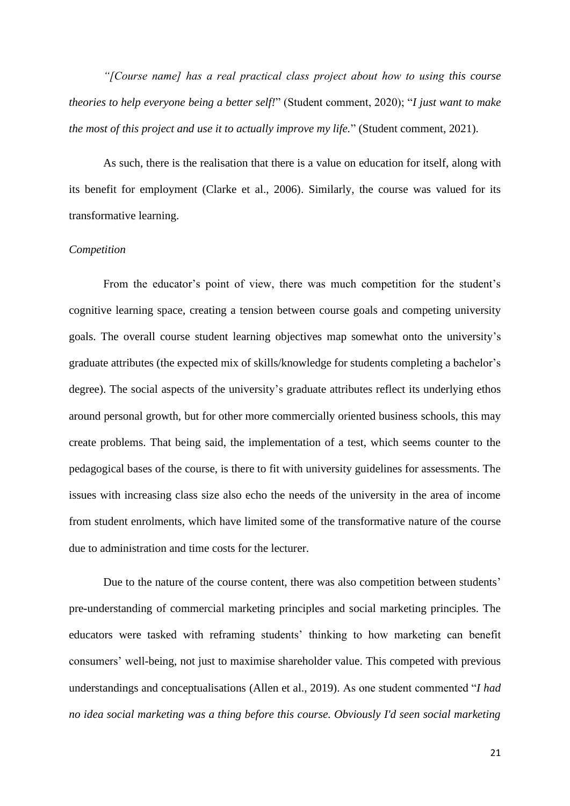*"[Course name] has a real practical class project about how to using this course theories to help everyone being a better self!*" (Student comment, 2020); "*I just want to make the most of this project and use it to actually improve my life.*" (Student comment, 2021).

As such, there is the realisation that there is a value on education for itself, along with its benefit for employment (Clarke et al., 2006). Similarly, the course was valued for its transformative learning.

# *Competition*

From the educator's point of view, there was much competition for the student's cognitive learning space, creating a tension between course goals and competing university goals. The overall course student learning objectives map somewhat onto the university's graduate attributes (the expected mix of skills/knowledge for students completing a bachelor's degree). The social aspects of the university's graduate attributes reflect its underlying ethos around personal growth, but for other more commercially oriented business schools, this may create problems. That being said, the implementation of a test, which seems counter to the pedagogical bases of the course, is there to fit with university guidelines for assessments. The issues with increasing class size also echo the needs of the university in the area of income from student enrolments, which have limited some of the transformative nature of the course due to administration and time costs for the lecturer.

Due to the nature of the course content, there was also competition between students' pre-understanding of commercial marketing principles and social marketing principles. The educators were tasked with reframing students' thinking to how marketing can benefit consumers' well-being, not just to maximise shareholder value. This competed with previous understandings and conceptualisations (Allen et al., 2019). As one student commented "*I had no idea social marketing was a thing before this course. Obviously I'd seen social marketing*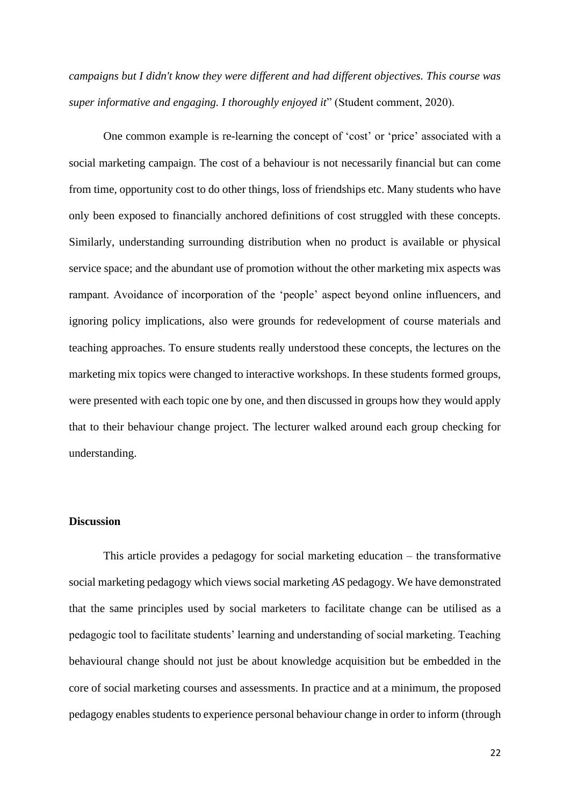*campaigns but I didn't know they were different and had different objectives. This course was super informative and engaging. I thoroughly enjoyed it*" (Student comment, 2020).

One common example is re-learning the concept of 'cost' or 'price' associated with a social marketing campaign. The cost of a behaviour is not necessarily financial but can come from time, opportunity cost to do other things, loss of friendships etc. Many students who have only been exposed to financially anchored definitions of cost struggled with these concepts. Similarly, understanding surrounding distribution when no product is available or physical service space; and the abundant use of promotion without the other marketing mix aspects was rampant. Avoidance of incorporation of the 'people' aspect beyond online influencers, and ignoring policy implications, also were grounds for redevelopment of course materials and teaching approaches. To ensure students really understood these concepts, the lectures on the marketing mix topics were changed to interactive workshops. In these students formed groups, were presented with each topic one by one, and then discussed in groups how they would apply that to their behaviour change project. The lecturer walked around each group checking for understanding.

# **Discussion**

This article provides a pedagogy for social marketing education – the transformative social marketing pedagogy which views social marketing *AS* pedagogy. We have demonstrated that the same principles used by social marketers to facilitate change can be utilised as a pedagogic tool to facilitate students' learning and understanding of social marketing. Teaching behavioural change should not just be about knowledge acquisition but be embedded in the core of social marketing courses and assessments. In practice and at a minimum, the proposed pedagogy enables students to experience personal behaviour change in order to inform (through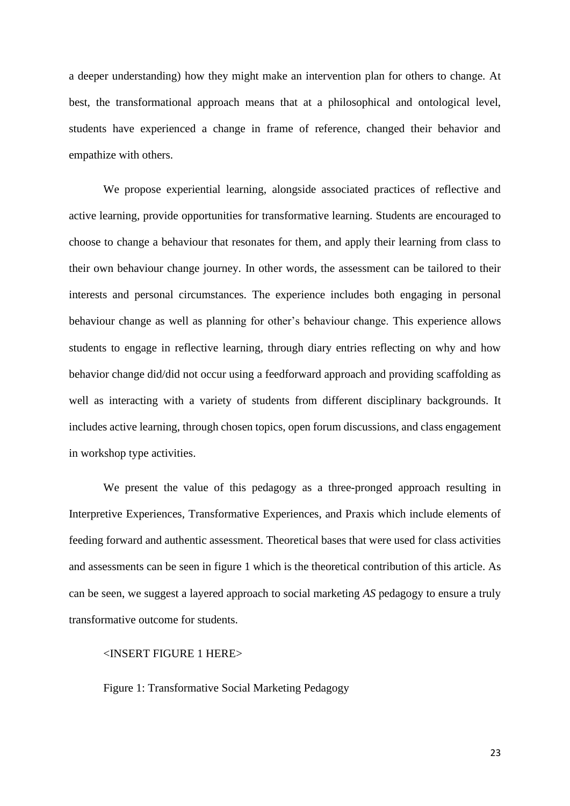a deeper understanding) how they might make an intervention plan for others to change. At best, the transformational approach means that at a philosophical and ontological level, students have experienced a change in frame of reference, changed their behavior and empathize with others.

We propose experiential learning, alongside associated practices of reflective and active learning, provide opportunities for transformative learning. Students are encouraged to choose to change a behaviour that resonates for them, and apply their learning from class to their own behaviour change journey. In other words, the assessment can be tailored to their interests and personal circumstances. The experience includes both engaging in personal behaviour change as well as planning for other's behaviour change. This experience allows students to engage in reflective learning, through diary entries reflecting on why and how behavior change did/did not occur using a feedforward approach and providing scaffolding as well as interacting with a variety of students from different disciplinary backgrounds. It includes active learning, through chosen topics, open forum discussions, and class engagement in workshop type activities.

We present the value of this pedagogy as a three-pronged approach resulting in Interpretive Experiences, Transformative Experiences, and Praxis which include elements of feeding forward and authentic assessment. Theoretical bases that were used for class activities and assessments can be seen in figure 1 which is the theoretical contribution of this article. As can be seen, we suggest a layered approach to social marketing *AS* pedagogy to ensure a truly transformative outcome for students.

## <INSERT FIGURE 1 HERE>

Figure 1: Transformative Social Marketing Pedagogy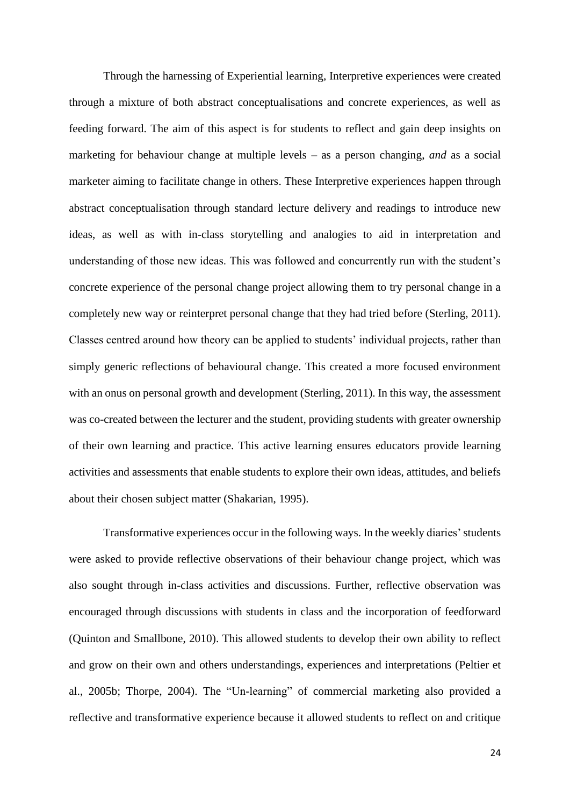Through the harnessing of Experiential learning, Interpretive experiences were created through a mixture of both abstract conceptualisations and concrete experiences, as well as feeding forward. The aim of this aspect is for students to reflect and gain deep insights on marketing for behaviour change at multiple levels – as a person changing, *and* as a social marketer aiming to facilitate change in others. These Interpretive experiences happen through abstract conceptualisation through standard lecture delivery and readings to introduce new ideas, as well as with in-class storytelling and analogies to aid in interpretation and understanding of those new ideas. This was followed and concurrently run with the student's concrete experience of the personal change project allowing them to try personal change in a completely new way or reinterpret personal change that they had tried before (Sterling, 2011). Classes centred around how theory can be applied to students' individual projects, rather than simply generic reflections of behavioural change. This created a more focused environment with an onus on personal growth and development (Sterling, 2011). In this way, the assessment was co-created between the lecturer and the student, providing students with greater ownership of their own learning and practice. This active learning ensures educators provide learning activities and assessments that enable students to explore their own ideas, attitudes, and beliefs about their chosen subject matter (Shakarian, 1995).

Transformative experiences occur in the following ways. In the weekly diaries'students were asked to provide reflective observations of their behaviour change project, which was also sought through in-class activities and discussions. Further, reflective observation was encouraged through discussions with students in class and the incorporation of feedforward (Quinton and Smallbone, 2010). This allowed students to develop their own ability to reflect and grow on their own and others understandings, experiences and interpretations (Peltier et al., 2005b; Thorpe, 2004). The "Un-learning" of commercial marketing also provided a reflective and transformative experience because it allowed students to reflect on and critique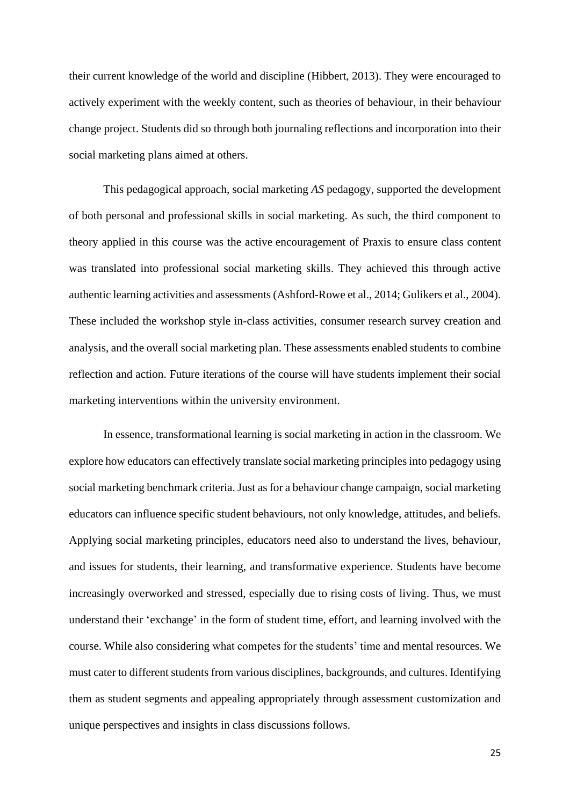their current knowledge of the world and discipline (Hibbert, 2013). They were encouraged to actively experiment with the weekly content, such as theories of behaviour, in their behaviour change project. Students did so through both journaling reflections and incorporation into their social marketing plans aimed at others.

This pedagogical approach, social marketing *AS* pedagogy, supported the development of both personal and professional skills in social marketing. As such, the third component to theory applied in this course was the active encouragement of Praxis to ensure class content was translated into professional social marketing skills. They achieved this through active authentic learning activities and assessments (Ashford-Rowe et al., 2014; Gulikers et al., 2004). These included the workshop style in-class activities, consumer research survey creation and analysis, and the overall social marketing plan. These assessments enabled students to combine reflection and action. Future iterations of the course will have students implement their social marketing interventions within the university environment.

In essence, transformational learning is social marketing in action in the classroom. We explore how educators can effectively translate social marketing principles into pedagogy using social marketing benchmark criteria. Just as for a behaviour change campaign, social marketing educators can influence specific student behaviours, not only knowledge, attitudes, and beliefs. Applying social marketing principles, educators need also to understand the lives, behaviour, and issues for students, their learning, and transformative experience. Students have become increasingly overworked and stressed, especially due to rising costs of living. Thus, we must understand their 'exchange' in the form of student time, effort, and learning involved with the course. While also considering what competes for the students' time and mental resources. We must cater to different students from various disciplines, backgrounds, and cultures. Identifying them as student segments and appealing appropriately through assessment customization and unique perspectives and insights in class discussions follows.

25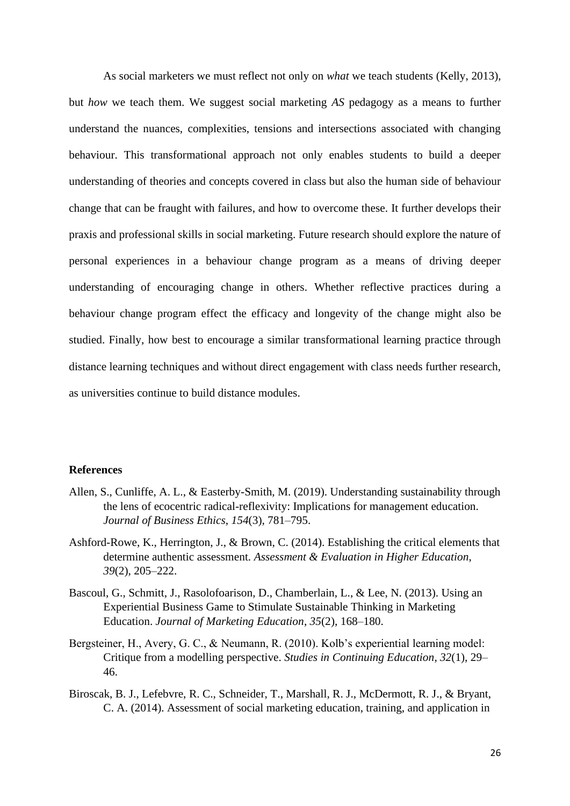As social marketers we must reflect not only on *what* we teach students (Kelly, 2013), but *how* we teach them. We suggest social marketing *AS* pedagogy as a means to further understand the nuances, complexities, tensions and intersections associated with changing behaviour. This transformational approach not only enables students to build a deeper understanding of theories and concepts covered in class but also the human side of behaviour change that can be fraught with failures, and how to overcome these. It further develops their praxis and professional skills in social marketing. Future research should explore the nature of personal experiences in a behaviour change program as a means of driving deeper understanding of encouraging change in others. Whether reflective practices during a behaviour change program effect the efficacy and longevity of the change might also be studied. Finally, how best to encourage a similar transformational learning practice through distance learning techniques and without direct engagement with class needs further research, as universities continue to build distance modules.

# **References**

- Allen, S., Cunliffe, A. L., & Easterby-Smith, M. (2019). Understanding sustainability through the lens of ecocentric radical-reflexivity: Implications for management education. *Journal of Business Ethics*, *154*(3), 781–795.
- Ashford-Rowe, K., Herrington, J., & Brown, C. (2014). Establishing the critical elements that determine authentic assessment. *Assessment & Evaluation in Higher Education*, *39*(2), 205–222.
- Bascoul, G., Schmitt, J., Rasolofoarison, D., Chamberlain, L., & Lee, N. (2013). Using an Experiential Business Game to Stimulate Sustainable Thinking in Marketing Education. *Journal of Marketing Education*, *35*(2), 168–180.
- Bergsteiner, H., Avery, G. C., & Neumann, R. (2010). Kolb's experiential learning model: Critique from a modelling perspective. *Studies in Continuing Education*, *32*(1), 29– 46.
- Biroscak, B. J., Lefebvre, R. C., Schneider, T., Marshall, R. J., McDermott, R. J., & Bryant, C. A. (2014). Assessment of social marketing education, training, and application in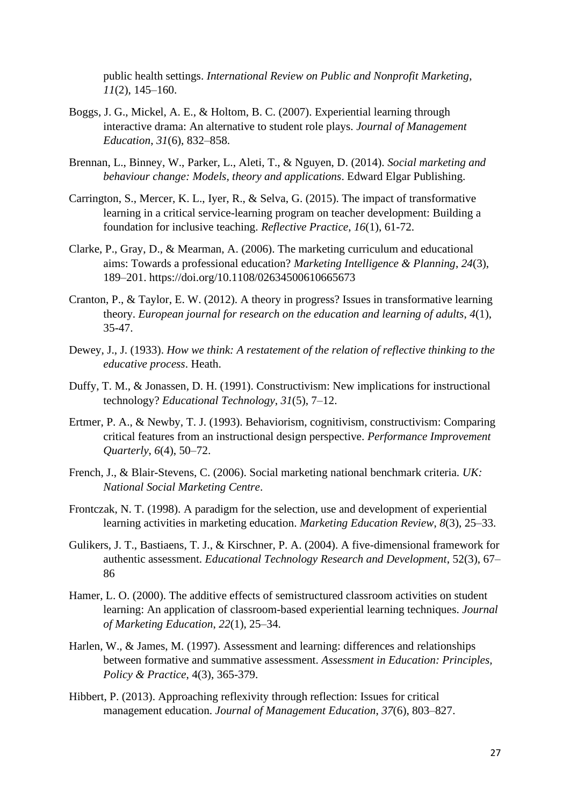public health settings. *International Review on Public and Nonprofit Marketing*, *11*(2), 145–160.

- Boggs, J. G., Mickel, A. E., & Holtom, B. C. (2007). Experiential learning through interactive drama: An alternative to student role plays. *Journal of Management Education*, *31*(6), 832–858.
- Brennan, L., Binney, W., Parker, L., Aleti, T., & Nguyen, D. (2014). *Social marketing and behaviour change: Models, theory and applications*. Edward Elgar Publishing.
- Carrington, S., Mercer, K. L., Iyer, R., & Selva, G. (2015). The impact of transformative learning in a critical service-learning program on teacher development: Building a foundation for inclusive teaching. *Reflective Practice*, *16*(1), 61-72.
- Clarke, P., Gray, D., & Mearman, A. (2006). The marketing curriculum and educational aims: Towards a professional education? *Marketing Intelligence & Planning*, *24*(3), 189–201. https://doi.org/10.1108/02634500610665673
- Cranton, P., & Taylor, E. W. (2012). A theory in progress? Issues in transformative learning theory. *European journal for research on the education and learning of adults*, *4*(1), 35-47.
- Dewey, J., J. (1933). *How we think: A restatement of the relation of reflective thinking to the educative process*. Heath.
- Duffy, T. M., & Jonassen, D. H. (1991). Constructivism: New implications for instructional technology? *Educational Technology*, *31*(5), 7–12.
- Ertmer, P. A., & Newby, T. J. (1993). Behaviorism, cognitivism, constructivism: Comparing critical features from an instructional design perspective. *Performance Improvement Quarterly*, *6*(4), 50–72.
- French, J., & Blair-Stevens, C. (2006). Social marketing national benchmark criteria. *UK: National Social Marketing Centre*.
- Frontczak, N. T. (1998). A paradigm for the selection, use and development of experiential learning activities in marketing education. *Marketing Education Review*, *8*(3), 25–33.
- Gulikers, J. T., Bastiaens, T. J., & Kirschner, P. A. (2004). A five-dimensional framework for authentic assessment. *Educational Technology Research and Development*, 52(3), 67– 86
- Hamer, L. O. (2000). The additive effects of semistructured classroom activities on student learning: An application of classroom-based experiential learning techniques. *Journal of Marketing Education*, *22*(1), 25–34.
- Harlen, W., & James, M. (1997). Assessment and learning: differences and relationships between formative and summative assessment. *Assessment in Education: Principles, Policy & Practice*, 4(3), 365-379.
- Hibbert, P. (2013). Approaching reflexivity through reflection: Issues for critical management education. *Journal of Management Education*, *37*(6), 803–827.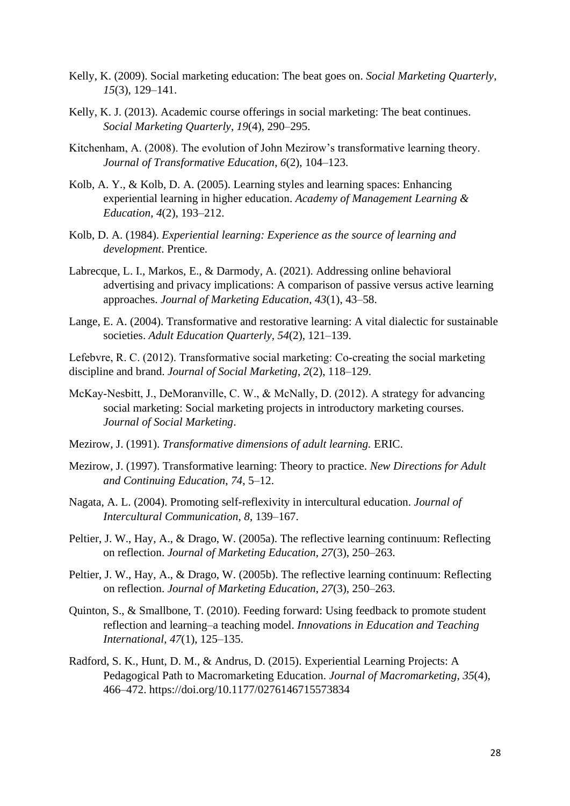- Kelly, K. (2009). Social marketing education: The beat goes on. *Social Marketing Quarterly*, *15*(3), 129–141.
- Kelly, K. J. (2013). Academic course offerings in social marketing: The beat continues. *Social Marketing Quarterly*, *19*(4), 290–295.
- Kitchenham, A. (2008). The evolution of John Mezirow's transformative learning theory. *Journal of Transformative Education*, *6*(2), 104–123.
- Kolb, A. Y., & Kolb, D. A. (2005). Learning styles and learning spaces: Enhancing experiential learning in higher education. *Academy of Management Learning & Education*, *4*(2), 193–212.
- Kolb, D. A. (1984). *Experiential learning: Experience as the source of learning and development*. Prentice.
- Labrecque, L. I., Markos, E., & Darmody, A. (2021). Addressing online behavioral advertising and privacy implications: A comparison of passive versus active learning approaches. *Journal of Marketing Education*, *43*(1), 43–58.
- Lange, E. A. (2004). Transformative and restorative learning: A vital dialectic for sustainable societies. *Adult Education Quarterly*, *54*(2), 121–139.

Lefebvre, R. C. (2012). Transformative social marketing: Co-creating the social marketing discipline and brand. *Journal of Social Marketing*, *2*(2), 118–129.

- McKay-Nesbitt, J., DeMoranville, C. W., & McNally, D. (2012). A strategy for advancing social marketing: Social marketing projects in introductory marketing courses. *Journal of Social Marketing*.
- Mezirow, J. (1991). *Transformative dimensions of adult learning.* ERIC.
- Mezirow, J. (1997). Transformative learning: Theory to practice. *New Directions for Adult and Continuing Education*, *74*, 5–12.
- Nagata, A. L. (2004). Promoting self-reflexivity in intercultural education. *Journal of Intercultural Communication*, *8*, 139–167.
- Peltier, J. W., Hay, A., & Drago, W. (2005a). The reflective learning continuum: Reflecting on reflection. *Journal of Marketing Education*, *27*(3), 250–263.
- Peltier, J. W., Hay, A., & Drago, W. (2005b). The reflective learning continuum: Reflecting on reflection. *Journal of Marketing Education*, *27*(3), 250–263.
- Quinton, S., & Smallbone, T. (2010). Feeding forward: Using feedback to promote student reflection and learning–a teaching model. *Innovations in Education and Teaching International*, *47*(1), 125–135.
- Radford, S. K., Hunt, D. M., & Andrus, D. (2015). Experiential Learning Projects: A Pedagogical Path to Macromarketing Education. *Journal of Macromarketing*, *35*(4), 466–472. https://doi.org/10.1177/0276146715573834